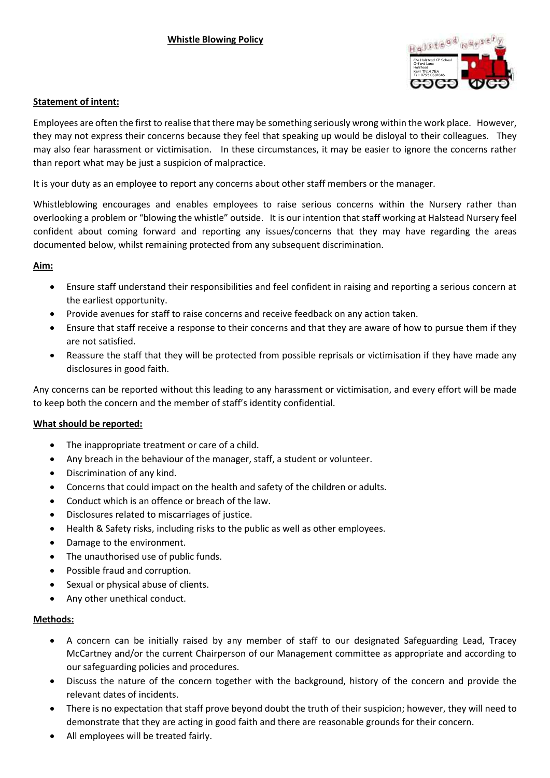

## **Statement of intent:**

Employees are often the first to realise that there may be something seriously wrong within the work place. However, they may not express their concerns because they feel that speaking up would be disloyal to their colleagues. They may also fear harassment or victimisation. In these circumstances, it may be easier to ignore the concerns rather than report what may be just a suspicion of malpractice.

It is your duty as an employee to report any concerns about other staff members or the manager.

Whistleblowing encourages and enables employees to raise serious concerns within the Nursery rather than overlooking a problem or "blowing the whistle" outside. It is our intention that staff working at Halstead Nursery feel confident about coming forward and reporting any issues/concerns that they may have regarding the areas documented below, whilst remaining protected from any subsequent discrimination.

# **Aim:**

- Ensure staff understand their responsibilities and feel confident in raising and reporting a serious concern at the earliest opportunity.
- Provide avenues for staff to raise concerns and receive feedback on any action taken.
- Ensure that staff receive a response to their concerns and that they are aware of how to pursue them if they are not satisfied.
- Reassure the staff that they will be protected from possible reprisals or victimisation if they have made any disclosures in good faith.

Any concerns can be reported without this leading to any harassment or victimisation, and every effort will be made to keep both the concern and the member of staff's identity confidential.

## **What should be reported:**

- The inappropriate treatment or care of a child.
- Any breach in the behaviour of the manager, staff, a student or volunteer.
- Discrimination of any kind.
- Concerns that could impact on the health and safety of the children or adults.
- Conduct which is an offence or breach of the law.
- Disclosures related to miscarriages of justice.
- Health & Safety risks, including risks to the public as well as other employees.
- Damage to the environment.
- The unauthorised use of public funds.
- Possible fraud and corruption.
- Sexual or physical abuse of clients.
- Any other unethical conduct.

## **Methods:**

- A concern can be initially raised by any member of staff to our designated Safeguarding Lead, Tracey McCartney and/or the current Chairperson of our Management committee as appropriate and according to our safeguarding policies and procedures.
- Discuss the nature of the concern together with the background, history of the concern and provide the relevant dates of incidents.
- There is no expectation that staff prove beyond doubt the truth of their suspicion; however, they will need to demonstrate that they are acting in good faith and there are reasonable grounds for their concern.
- All employees will be treated fairly.